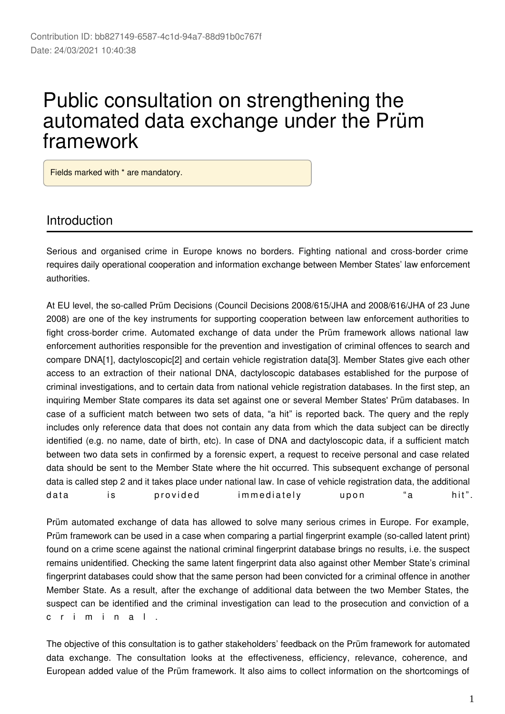# Public consultation on strengthening the automated data exchange under the Prüm framework

Fields marked with \* are mandatory.

#### Introduction

Serious and organised crime in Europe knows no borders. Fighting national and cross-border crime requires daily operational cooperation and information exchange between Member States' law enforcement authorities.

At EU level, the so-called Prüm Decisions (Council Decisions 2008/615/JHA and 2008/616/JHA of 23 June 2008) are one of the key instruments for supporting cooperation between law enforcement authorities to fight cross-border crime. Automated exchange of data under the Prüm framework allows national law enforcement authorities responsible for the prevention and investigation of criminal offences to search and compare DNA[1], dactyloscopic[2] and certain vehicle registration data[3]. Member States give each other access to an extraction of their national DNA, dactyloscopic databases established for the purpose of criminal investigations, and to certain data from national vehicle registration databases. In the first step, an inquiring Member State compares its data set against one or several Member States' Prüm databases. In case of a sufficient match between two sets of data, "a hit" is reported back. The query and the reply includes only reference data that does not contain any data from which the data subject can be directly identified (e.g. no name, date of birth, etc). In case of DNA and dactyloscopic data, if a sufficient match between two data sets in confirmed by a forensic expert, a request to receive personal and case related data should be sent to the Member State where the hit occurred. This subsequent exchange of personal data is called step 2 and it takes place under national law. In case of vehicle registration data, the additional data is provided immediately upon "a hit".

Prüm automated exchange of data has allowed to solve many serious crimes in Europe. For example, Prüm framework can be used in a case when comparing a partial fingerprint example (so-called latent print) found on a crime scene against the national criminal fingerprint database brings no results, i.e. the suspect remains unidentified. Checking the same latent fingerprint data also against other Member State's criminal fingerprint databases could show that the same person had been convicted for a criminal offence in another Member State. As a result, after the exchange of additional data between the two Member States, the suspect can be identified and the criminal investigation can lead to the prosecution and conviction of a c r i m i n a l .

The objective of this consultation is to gather stakeholders' feedback on the Prüm framework for automated data exchange. The consultation looks at the effectiveness, efficiency, relevance, coherence, and European added value of the Prüm framework. It also aims to collect information on the shortcomings of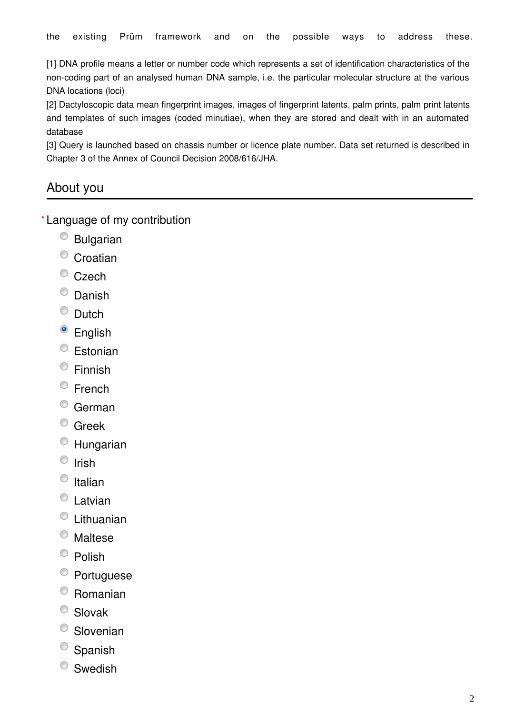[1] DNA profile means a letter or number code which represents a set of identification characteristics of the non-coding part of an analysed human DNA sample, i.e. the particular molecular structure at the various DNA locations (loci)

[2] Dactyloscopic data mean fingerprint images, images of fingerprint latents, palm prints, palm print latents and templates of such images (coded minutiae), when they are stored and dealt with in an automated database

[3] Query is launched based on chassis number or licence plate number. Data set returned is described in Chapter 3 of the Annex of Council Decision 2008/616/JHA.

# About you

Language of my contribution **\***

- $<sup>°</sup>$  Bulgarian</sup>
- <sup>o</sup> Croatian
- <sup>©</sup> Czech
- <sup>O</sup> Danish
- $\bullet$  Dutch
- <sup>o</sup> English
- <sup>©</sup> Estonian
- Finnish
- <sup>©</sup> French
- German
- <sup>©</sup> Greek
- Hungarian
- $\circ$  Irish
- $\circ$  Italian
- Latvian
- Lithuanian
- Maltese
- $\bullet$  Polish
- Portuguese
- Romanian
- Slovak
- <sup>O</sup> Slovenian
- <sup>O</sup> Spanish
- Swedish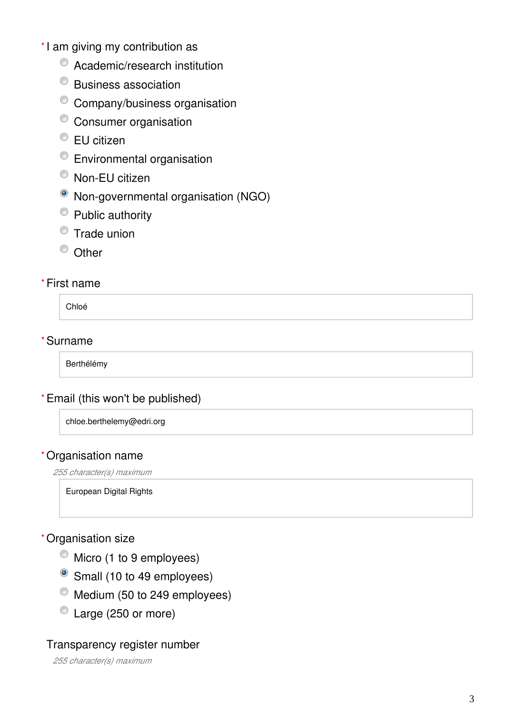- \*I am giving my contribution as
	- $\bullet$  Academic/research institution
	- Business association
	- Company/business organisation
	- <sup>o</sup> Consumer organisation
	- EU citizen
	- Environmental organisation
	- <sup>O</sup> Non-EU citizen
	- Non-governmental organisation (NGO)
	- Public authority
	- **Trade union**
	- <sup>O</sup> Other

#### First name **\***

Chloé

#### Surname **\***

Berthélémy

#### Email (this won't be published) **\***

chloe.berthelemy@edri.org

#### Organisation name **\***

*255 character(s) maximum*

European Digital Rights

#### Organisation size **\***

- $\bullet$  Micro (1 to 9 employees)
- Small (10 to 49 employees)
- $\bullet$  Medium (50 to 249 employees)
- Large (250 or more)

#### Transparency register number

*255 character(s) maximum*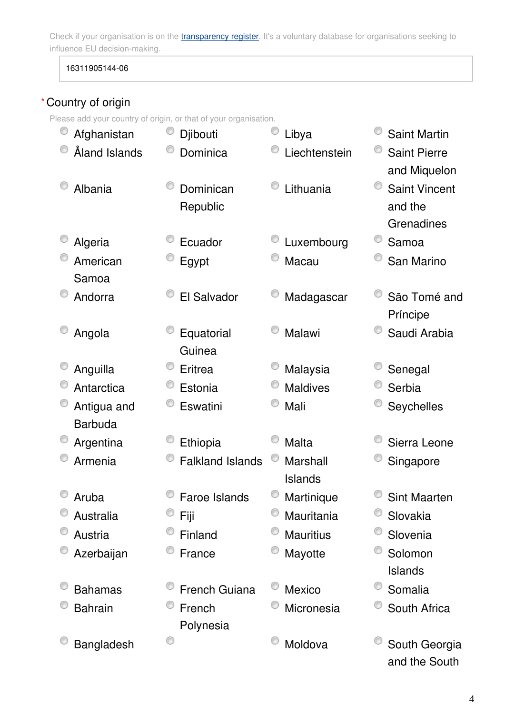Check if your organisation is on the *[transparency register](http://ec.europa.eu/transparencyregister/public/homePage.do?redir=false&locale=en)*. It's a voluntary database for organisations seeking to influence EU decision-making.

16311905144-06

### Country of origin **\***

Please add your country of origin, or that of your organisation.

| Afghanistan    | Djibouti                | Libya            | <b>Saint Martin</b>  |
|----------------|-------------------------|------------------|----------------------|
| Åland Islands  | Dominica                | Liechtenstein    | <b>Saint Pierre</b>  |
|                |                         |                  | and Miquelon         |
| Albania        | Dominican               | Lithuania        | <b>Saint Vincent</b> |
|                | Republic                |                  | and the              |
|                |                         |                  | Grenadines           |
| Algeria        | Ecuador                 | Luxembourg       | Samoa                |
| American       | Egypt                   | Macau            | San Marino           |
| Samoa          |                         |                  |                      |
| Andorra        | El Salvador             | Madagascar       | São Tomé and         |
|                |                         |                  | Príncipe             |
| Angola         | Equatorial              | Malawi           | Saudi Arabia         |
|                | Guinea                  |                  |                      |
| Anguilla       | Eritrea                 | Malaysia         | Senegal              |
| Antarctica     | Estonia                 | <b>Maldives</b>  | Serbia               |
| Antigua and    | Eswatini                | Mali             | Seychelles           |
| <b>Barbuda</b> |                         |                  |                      |
| Argentina      | Ethiopia                | <b>Malta</b>     | Sierra Leone         |
| Armenia        | <b>Falkland Islands</b> | Marshall         | Singapore            |
|                |                         | <b>Islands</b>   |                      |
| Aruba          | <b>Faroe Islands</b>    | Martinique       | <b>Sint Maarten</b>  |
| Australia      | Fiji                    | Mauritania       | Slovakia             |
| Austria        | Finland                 | <b>Mauritius</b> | Slovenia             |
| Azerbaijan     | France                  | Mayotte          | Solomon              |
|                |                         |                  | Islands              |
| <b>Bahamas</b> | French Guiana           | <b>Mexico</b>    | Somalia              |
| <b>Bahrain</b> | French                  | Micronesia       | South Africa         |
|                | Polynesia               |                  |                      |
| Bangladesh     | O                       | Moldova          | South Georgia        |
|                |                         |                  | and the South        |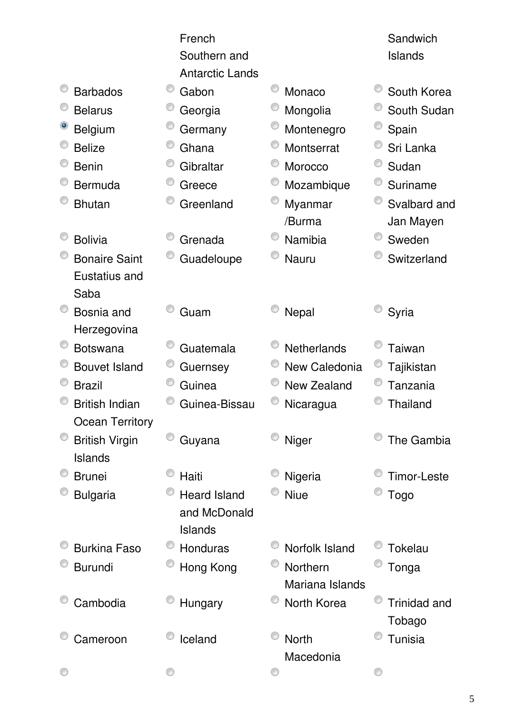|                        | French                 |                    | Sandwich            |
|------------------------|------------------------|--------------------|---------------------|
|                        | Southern and           |                    | <b>Islands</b>      |
|                        | <b>Antarctic Lands</b> |                    |                     |
| <b>Barbados</b>        | Gabon                  | Monaco             | South Korea         |
| <b>Belarus</b>         | Georgia                | Mongolia           | South Sudan         |
| <b>Belgium</b>         | Germany                | Montenegro         | Spain               |
| <b>Belize</b>          | Ghana                  | Montserrat         | Sri Lanka           |
| <b>Benin</b>           | Gibraltar              | Morocco            | Sudan               |
| <b>Bermuda</b>         | Greece                 | Mozambique         | Suriname            |
| <b>Bhutan</b>          | Greenland              | Myanmar            | Svalbard and        |
|                        |                        | /Burma             | Jan Mayen           |
| <b>Bolivia</b>         | Grenada                | Namibia            | Sweden              |
| <b>Bonaire Saint</b>   | Guadeloupe             | Nauru              | Switzerland         |
| Eustatius and          |                        |                    |                     |
| Saba                   |                        |                    |                     |
| Bosnia and             | Guam                   | Nepal              | Syria               |
| Herzegovina            |                        |                    |                     |
| <b>Botswana</b>        | Guatemala              | <b>Netherlands</b> | Taiwan              |
| <b>Bouvet Island</b>   | Guernsey               | New Caledonia      | Tajikistan          |
| <b>Brazil</b>          | Guinea                 | <b>New Zealand</b> | Tanzania            |
| <b>British Indian</b>  | Guinea-Bissau          | Nicaragua          | <b>Thailand</b>     |
| <b>Ocean Territory</b> |                        |                    |                     |
| <b>British Virgin</b>  | Guyana                 | Niger              | The Gambia          |
| Islands                |                        |                    |                     |
| <b>Brunei</b>          | Haiti                  | Nigeria            | <b>Timor-Leste</b>  |
| <b>Bulgaria</b>        | <b>Heard Island</b>    | <b>Niue</b>        | <b>Togo</b>         |
|                        | and McDonald           |                    |                     |
|                        | Islands                |                    |                     |
| <b>Burkina Faso</b>    | Honduras               | Norfolk Island     | Tokelau             |
| <b>Burundi</b>         | Hong Kong              | Northern           | Tonga               |
|                        |                        | Mariana Islands    |                     |
| Cambodia               | Hungary                | North Korea        | <b>Trinidad and</b> |
|                        |                        |                    | Tobago              |
| Cameroon               | Iceland                | <b>North</b>       | <b>Tunisia</b>      |
|                        |                        | Macedonia          |                     |
|                        |                        |                    |                     |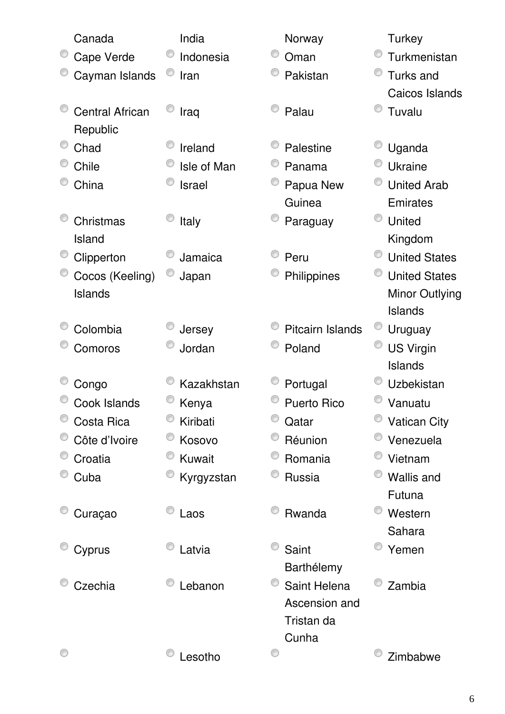| Canada                 | India         | Norway             | <b>Turkey</b>         |
|------------------------|---------------|--------------------|-----------------------|
| Cape Verde             | Indonesia     | Oman               | Turkmenistan          |
| Cayman Islands         | Iran          | Pakistan           | Turks and             |
|                        |               |                    | Caicos Islands        |
| <b>Central African</b> | Iraq          | Palau              | Tuvalu                |
| Republic               |               |                    |                       |
| Chad                   | Ireland       | Palestine          | Uganda                |
| Chile                  | Isle of Man   | Panama             | <b>Ukraine</b>        |
| China                  | <b>Israel</b> | Papua New          | <b>United Arab</b>    |
|                        |               | Guinea             | Emirates              |
| Christmas              | Italy         | Paraguay           | <b>United</b>         |
| Island                 |               |                    | Kingdom               |
| Clipperton             | Jamaica       | Peru               | <b>United States</b>  |
| Cocos (Keeling)        | Japan         | Philippines        | <b>United States</b>  |
| Islands                |               |                    | <b>Minor Outlying</b> |
|                        |               |                    | Islands               |
| Colombia               | Jersey        | Pitcairn Islands   | Uruguay               |
| Comoros                | Jordan        | Poland             | <b>US Virgin</b>      |
|                        |               |                    | Islands               |
| Congo                  | Kazakhstan    | Portugal           | Uzbekistan            |
| Cook Islands           | Kenya         | <b>Puerto Rico</b> | Vanuatu               |
| Costa Rica             | Kiribati      | Qatar              | <b>Vatican City</b>   |
| Côte d'Ivoire          | Kosovo        | Réunion            | Venezuela             |
| Croatia                | <b>Kuwait</b> | Romania            | Vietnam               |
| Cuba                   | Kyrgyzstan    | Russia             | <b>Wallis and</b>     |
|                        |               |                    | Futuna                |
| Curaçao                | Laos          | Rwanda             | Western               |
|                        |               |                    | Sahara                |
| Cyprus                 | Latvia        | Saint              | Yemen                 |
|                        |               | Barthélemy         |                       |
| Czechia                | Lebanon       | Saint Helena       | Zambia                |
|                        |               | Ascension and      |                       |
|                        |               | Tristan da         |                       |
|                        |               | Cunha              |                       |
|                        | Lesotho       | O                  | Zimbabwe              |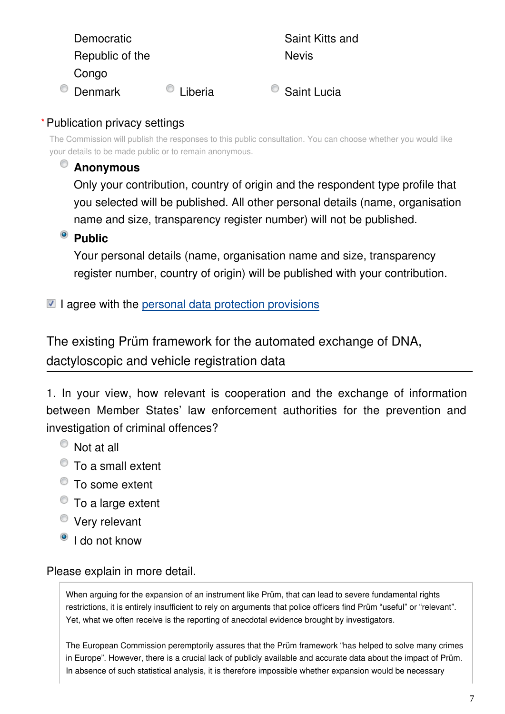| Democratic      |         | Saint Kitts and |
|-----------------|---------|-----------------|
| Republic of the |         | <b>Nevis</b>    |
| Congo           |         |                 |
| Denmark         | Liberia | Saint Lucia     |

#### Publication privacy settings **\***

The Commission will publish the responses to this public consultation. You can choose whether you would like your details to be made public or to remain anonymous.

# **Anonymous**

Only your contribution, country of origin and the respondent type profile that you selected will be published. All other personal details (name, organisation name and size, transparency register number) will not be published.

# **Public**

Your personal details (name, organisation name and size, transparency register number, country of origin) will be published with your contribution.

### $\blacksquare$  I agree with the [personal data protection provisions](https://ec.europa.eu/info/law/better-regulation/specific-privacy-statement_en)

The existing Prüm framework for the automated exchange of DNA, dactyloscopic and vehicle registration data

1. In your view, how relevant is cooperation and the exchange of information between Member States' law enforcement authorities for the prevention and investigation of criminal offences?

- Not at all
- To a small extent
- To some extent
- To a large extent
- Very relevant
- <sup>O</sup> I do not know

#### Please explain in more detail.

When arguing for the expansion of an instrument like Prüm, that can lead to severe fundamental rights restrictions, it is entirely insufficient to rely on arguments that police officers find Prüm "useful" or "relevant". Yet, what we often receive is the reporting of anecdotal evidence brought by investigators.

The European Commission peremptorily assures that the Prüm framework "has helped to solve many crimes in Europe". However, there is a crucial lack of publicly available and accurate data about the impact of Prüm. In absence of such statistical analysis, it is therefore impossible whether expansion would be necessary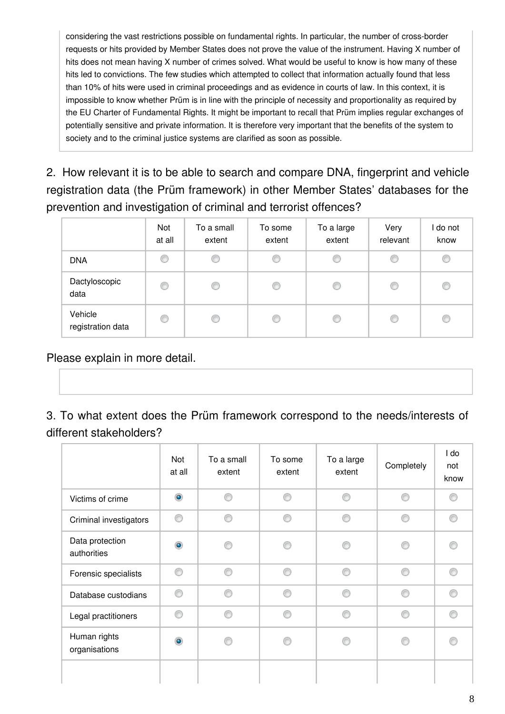considering the vast restrictions possible on fundamental rights. In particular, the number of cross-border requests or hits provided by Member States does not prove the value of the instrument. Having X number of hits does not mean having X number of crimes solved. What would be useful to know is how many of these hits led to convictions. The few studies which attempted to collect that information actually found that less than 10% of hits were used in criminal proceedings and as evidence in courts of law. In this context, it is impossible to know whether Prüm is in line with the principle of necessity and proportionality as required by the EU Charter of Fundamental Rights. It might be important to recall that Prüm implies regular exchanges of potentially sensitive and private information. It is therefore very important that the benefits of the system to society and to the criminal justice systems are clarified as soon as possible.

2. How relevant it is to be able to search and compare DNA, fingerprint and vehicle registration data (the Prüm framework) in other Member States' databases for the prevention and investigation of criminal and terrorist offences?

|                              | Not<br>at all | To a small<br>extent | To some<br>extent | To a large<br>extent | Very<br>relevant | I do not<br>know |
|------------------------------|---------------|----------------------|-------------------|----------------------|------------------|------------------|
| <b>DNA</b>                   | C             | O                    | C                 | C                    | C                | C                |
| Dactyloscopic<br>data        | C             | ◎                    | ◎                 | ◎                    | C                | C                |
| Vehicle<br>registration data | ◎             | ⋒                    | ⋒                 | €                    | €                | C                |

Please explain in more detail.

3. To what extent does the Prüm framework correspond to the needs/interests of different stakeholders?

|                                | Not<br>at all | To a small<br>extent | To some<br>extent | To a large<br>extent | Completely | l do<br>not<br>know |
|--------------------------------|---------------|----------------------|-------------------|----------------------|------------|---------------------|
| Victims of crime               | $\bullet$     | ◉                    | ⋒                 | ⋒                    | ⋒          |                     |
| Criminal investigators         | ∩             | ◎                    | ⋒                 | ⋒                    | ⋒          | ⋒                   |
| Data protection<br>authorities | $\bullet$     | ß                    |                   |                      |            |                     |
| Forensic specialists           | ∩             | ∩                    | ⋒                 | ⋒                    | ∩          |                     |
| Database custodians            | ⋒             | ∩                    | ⋒                 | ⋒                    | ⋒          |                     |
| Legal practitioners            | ⊙             | ⊙                    | ⋒                 | ⋒                    | ⊙          | ⋒                   |
| Human rights<br>organisations  | ۵             | e                    |                   |                      |            |                     |
|                                |               |                      |                   |                      |            |                     |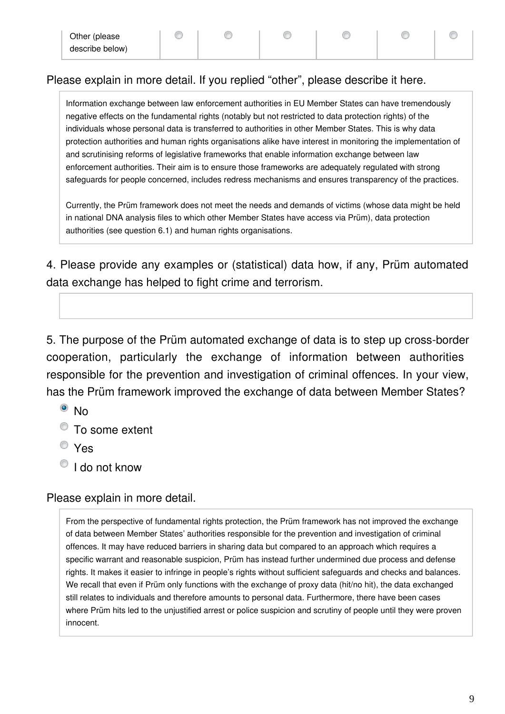◉

⋒

⋒

⋒

#### Please explain in more detail. If you replied "other", please describe it here.

⊙

Information exchange between law enforcement authorities in EU Member States can have tremendously negative effects on the fundamental rights (notably but not restricted to data protection rights) of the individuals whose personal data is transferred to authorities in other Member States. This is why data protection authorities and human rights organisations alike have interest in monitoring the implementation of and scrutinising reforms of legislative frameworks that enable information exchange between law enforcement authorities. Their aim is to ensure those frameworks are adequately regulated with strong safeguards for people concerned, includes redress mechanisms and ensures transparency of the practices.

Currently, the Prüm framework does not meet the needs and demands of victims (whose data might be held in national DNA analysis files to which other Member States have access via Prüm), data protection authorities (see question 6.1) and human rights organisations.

4. Please provide any examples or (statistical) data how, if any, Prüm automated data exchange has helped to fight crime and terrorism.

5. The purpose of the Prüm automated exchange of data is to step up cross-border cooperation, particularly the exchange of information between authorities responsible for the prevention and investigation of criminal offences. In your view, has the Prüm framework improved the exchange of data between Member States?

- <sup>o</sup> No
- To some extent
- Yes
- <sup>1</sup> I do not know

#### Please explain in more detail.

From the perspective of fundamental rights protection, the Prüm framework has not improved the exchange of data between Member States' authorities responsible for the prevention and investigation of criminal offences. It may have reduced barriers in sharing data but compared to an approach which requires a specific warrant and reasonable suspicion, Prüm has instead further undermined due process and defense rights. It makes it easier to infringe in people's rights without sufficient safeguards and checks and balances. We recall that even if Prüm only functions with the exchange of proxy data (hit/no hit), the data exchanged still relates to individuals and therefore amounts to personal data. Furthermore, there have been cases where Prüm hits led to the unjustified arrest or police suspicion and scrutiny of people until they were proven innocent.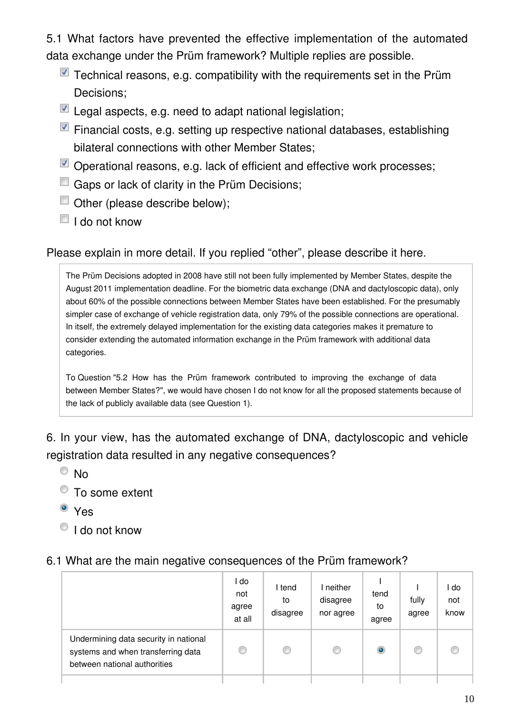5.1 What factors have prevented the effective implementation of the automated data exchange under the Prüm framework? Multiple replies are possible.

- $\blacksquare$  Technical reasons, e.g. compatibility with the requirements set in the Prüm Decisions;
- Legal aspects, e.g. need to adapt national legislation;
- $\blacksquare$  Financial costs, e.g. setting up respective national databases, establishing bilateral connections with other Member States;
- Operational reasons, e.g. lack of efficient and effective work processes;
- Gaps or lack of clarity in the Prüm Decisions;
- Other (please describe below);
- $\blacksquare$  I do not know

#### Please explain in more detail. If you replied "other", please describe it here.

The Prüm Decisions adopted in 2008 have still not been fully implemented by Member States, despite the August 2011 implementation deadline. For the biometric data exchange (DNA and dactyloscopic data), only about 60% of the possible connections between Member States have been established. For the presumably simpler case of exchange of vehicle registration data, only 79% of the possible connections are operational. In itself, the extremely delayed implementation for the existing data categories makes it premature to consider extending the automated information exchange in the Prüm framework with additional data categories.

To Question "5.2 How has the Prüm framework contributed to improving the exchange of data between Member States?", we would have chosen I do not know for all the proposed statements because of the lack of publicly available data (see Question 1).

6. In your view, has the automated exchange of DNA, dactyloscopic and vehicle registration data resulted in any negative consequences?

- $\odot$  No
- To some extent
- <sup>o</sup> Yes
- <sup>1</sup> I do not know

#### 6.1 What are the main negative consequences of the Prüm framework?

|                                                                                                             | l do<br>not<br>agree<br>at all | l tend<br>to<br>disagree | I neither<br>disagree<br>nor agree | tend<br>to<br>agree | fully<br>agree | do<br>not<br>know |
|-------------------------------------------------------------------------------------------------------------|--------------------------------|--------------------------|------------------------------------|---------------------|----------------|-------------------|
| Undermining data security in national<br>systems and when transferring data<br>between national authorities | C                              | C                        | O                                  | $\circledcirc$      |                |                   |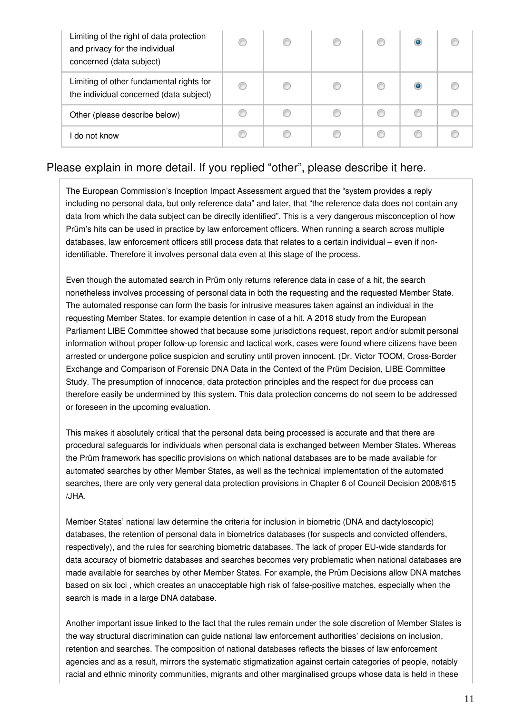| Limiting of the right of data protection<br>and privacy for the individual<br>concerned (data subject) | C |  |   |  |
|--------------------------------------------------------------------------------------------------------|---|--|---|--|
| Limiting of other fundamental rights for<br>the individual concerned (data subject)                    | O |  | O |  |
| Other (please describe below)                                                                          | C |  |   |  |
| l do not know                                                                                          |   |  |   |  |

#### Please explain in more detail. If you replied "other", please describe it here.

The European Commission's Inception Impact Assessment argued that the "system provides a reply including no personal data, but only reference data" and later, that "the reference data does not contain any data from which the data subject can be directly identified". This is a very dangerous misconception of how Prüm's hits can be used in practice by law enforcement officers. When running a search across multiple databases, law enforcement officers still process data that relates to a certain individual – even if nonidentifiable. Therefore it involves personal data even at this stage of the process.

Even though the automated search in Prüm only returns reference data in case of a hit, the search nonetheless involves processing of personal data in both the requesting and the requested Member State. The automated response can form the basis for intrusive measures taken against an individual in the requesting Member States, for example detention in case of a hit. A 2018 study from the European Parliament LIBE Committee showed that because some jurisdictions request, report and/or submit personal information without proper follow-up forensic and tactical work, cases were found where citizens have been arrested or undergone police suspicion and scrutiny until proven innocent. (Dr. Victor TOOM, Cross-Border Exchange and Comparison of Forensic DNA Data in the Context of the Prüm Decision, LIBE Committee Study. The presumption of innocence, data protection principles and the respect for due process can therefore easily be undermined by this system. This data protection concerns do not seem to be addressed or foreseen in the upcoming evaluation.

This makes it absolutely critical that the personal data being processed is accurate and that there are procedural safeguards for individuals when personal data is exchanged between Member States. Whereas the Prüm framework has specific provisions on which national databases are to be made available for automated searches by other Member States, as well as the technical implementation of the automated searches, there are only very general data protection provisions in Chapter 6 of Council Decision 2008/615 /JHA.

Member States' national law determine the criteria for inclusion in biometric (DNA and dactyloscopic) databases, the retention of personal data in biometrics databases (for suspects and convicted offenders, respectively), and the rules for searching biometric databases. The lack of proper EU-wide standards for data accuracy of biometric databases and searches becomes very problematic when national databases are made available for searches by other Member States. For example, the Prüm Decisions allow DNA matches based on six loci , which creates an unacceptable high risk of false-positive matches, especially when the search is made in a large DNA database.

Another important issue linked to the fact that the rules remain under the sole discretion of Member States is the way structural discrimination can guide national law enforcement authorities' decisions on inclusion, retention and searches. The composition of national databases reflects the biases of law enforcement agencies and as a result, mirrors the systematic stigmatization against certain categories of people, notably racial and ethnic minority communities, migrants and other marginalised groups whose data is held in these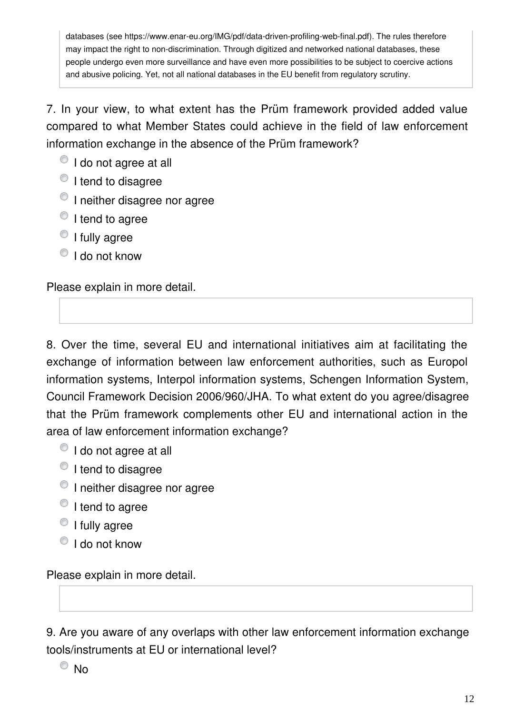databases (see https://www.enar-eu.org/IMG/pdf/data-driven-profiling-web-final.pdf). The rules therefore may impact the right to non-discrimination. Through digitized and networked national databases, these people undergo even more surveillance and have even more possibilities to be subject to coercive actions and abusive policing. Yet, not all national databases in the EU benefit from regulatory scrutiny.

7. In your view, to what extent has the Prüm framework provided added value compared to what Member States could achieve in the field of law enforcement information exchange in the absence of the Prüm framework?

- $\bullet$  I do not agree at all
- <sup>t</sup> I tend to disagree
- <sup>1</sup> I neither disagree nor agree
- $\bullet$  I tend to agree
- <sup>O</sup> I fully agree
- $\bigcirc$  I do not know

Please explain in more detail.

8. Over the time, several EU and international initiatives aim at facilitating the exchange of information between law enforcement authorities, such as Europol information systems, Interpol information systems, Schengen Information System, Council Framework Decision 2006/960/JHA. To what extent do you agree/disagree that the Prüm framework complements other EU and international action in the area of law enforcement information exchange?

- $\bullet$  I do not agree at all
- $\bullet$  I tend to disagree
- <sup>1</sup> I neither disagree nor agree
- <sup>O</sup> I tend to agree
- <sup>O</sup> I fully agree
- $\bigcirc$  I do not know

Please explain in more detail.

9. Are you aware of any overlaps with other law enforcement information exchange tools/instruments at EU or international level?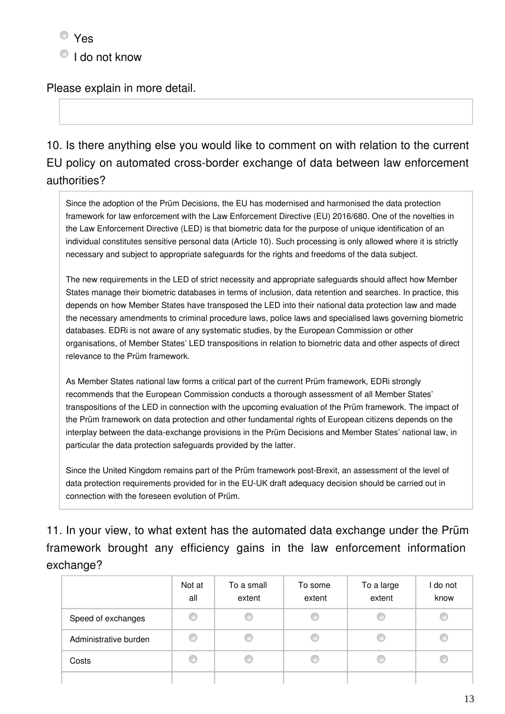$\bullet$  I do not know

Please explain in more detail.

10. Is there anything else you would like to comment on with relation to the current EU policy on automated cross-border exchange of data between law enforcement authorities?

Since the adoption of the Prüm Decisions, the EU has modernised and harmonised the data protection framework for law enforcement with the Law Enforcement Directive (EU) 2016/680. One of the novelties in the Law Enforcement Directive (LED) is that biometric data for the purpose of unique identification of an individual constitutes sensitive personal data (Article 10). Such processing is only allowed where it is strictly necessary and subject to appropriate safeguards for the rights and freedoms of the data subject.

The new requirements in the LED of strict necessity and appropriate safeguards should affect how Member States manage their biometric databases in terms of inclusion, data retention and searches. In practice, this depends on how Member States have transposed the LED into their national data protection law and made the necessary amendments to criminal procedure laws, police laws and specialised laws governing biometric databases. EDRi is not aware of any systematic studies, by the European Commission or other organisations, of Member States' LED transpositions in relation to biometric data and other aspects of direct relevance to the Prüm framework.

As Member States national law forms a critical part of the current Prüm framework, EDRi strongly recommends that the European Commission conducts a thorough assessment of all Member States' transpositions of the LED in connection with the upcoming evaluation of the Prüm framework. The impact of the Prüm framework on data protection and other fundamental rights of European citizens depends on the interplay between the data-exchange provisions in the Prüm Decisions and Member States' national law, in particular the data protection safeguards provided by the latter.

Since the United Kingdom remains part of the Prüm framework post-Brexit, an assessment of the level of data protection requirements provided for in the EU-UK draft adequacy decision should be carried out in connection with the foreseen evolution of Prüm.

11. In your view, to what extent has the automated data exchange under the Prüm framework brought any efficiency gains in the law enforcement information exchange?

|                       | Not at<br>all | To a small<br>extent | To some<br>extent | To a large<br>extent | do not<br>know |
|-----------------------|---------------|----------------------|-------------------|----------------------|----------------|
| Speed of exchanges    | O             |                      |                   |                      |                |
| Administrative burden | O             |                      |                   | O                    |                |
| Costs                 |               |                      |                   |                      |                |
|                       |               |                      |                   |                      |                |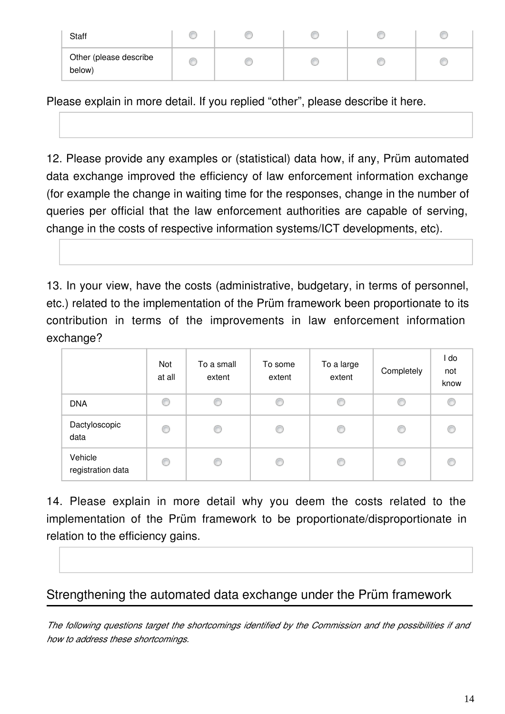| <b>Staff</b>                     |  |  |  |
|----------------------------------|--|--|--|
| Other (please describe<br>below) |  |  |  |

Please explain in more detail. If you replied "other", please describe it here.

12. Please provide any examples or (statistical) data how, if any, Prüm automated data exchange improved the efficiency of law enforcement information exchange (for example the change in waiting time for the responses, change in the number of queries per official that the law enforcement authorities are capable of serving, change in the costs of respective information systems/ICT developments, etc).

13. In your view, have the costs (administrative, budgetary, in terms of personnel, etc.) related to the implementation of the Prüm framework been proportionate to its contribution in terms of the improvements in law enforcement information exchange?

|                              | Not<br>at all | To a small<br>extent | To some<br>extent | To a large<br>extent | Completely | l do<br>not<br>know |
|------------------------------|---------------|----------------------|-------------------|----------------------|------------|---------------------|
| <b>DNA</b>                   | O             | C                    |                   | O                    | O          | €                   |
| Dactyloscopic<br>data        | €             | C                    | C                 | C                    | €          | C                   |
| Vehicle<br>registration data | €             | O                    |                   | €                    | €          | €                   |

14. Please explain in more detail why you deem the costs related to the implementation of the Prüm framework to be proportionate/disproportionate in relation to the efficiency gains.

# Strengthening the automated data exchange under the Prüm framework

*The following questions target the shortcomings identified by the Commission and the possibilities if and how to address these shortcomings.*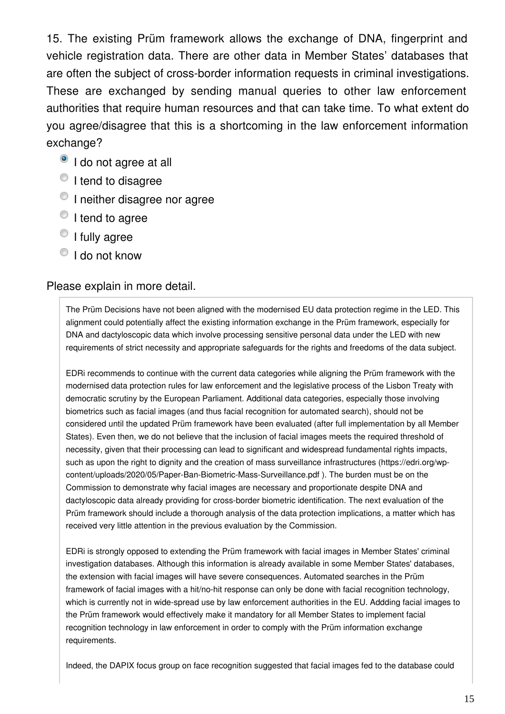15. The existing Prüm framework allows the exchange of DNA, fingerprint and vehicle registration data. There are other data in Member States' databases that are often the subject of cross-border information requests in criminal investigations. These are exchanged by sending manual queries to other law enforcement authorities that require human resources and that can take time. To what extent do you agree/disagree that this is a shortcoming in the law enforcement information exchange?

- <sup>o</sup> I do not agree at all
- <sup>1</sup> I tend to disagree
- <sup>1</sup> I neither disagree nor agree
- <sup>O</sup> I tend to agree
- <sup>1</sup> I fully agree
- $\bigcirc$  I do not know

#### Please explain in more detail.

The Prüm Decisions have not been aligned with the modernised EU data protection regime in the LED. This alignment could potentially affect the existing information exchange in the Prüm framework, especially for DNA and dactyloscopic data which involve processing sensitive personal data under the LED with new requirements of strict necessity and appropriate safeguards for the rights and freedoms of the data subject.

EDRi recommends to continue with the current data categories while aligning the Prüm framework with the modernised data protection rules for law enforcement and the legislative process of the Lisbon Treaty with democratic scrutiny by the European Parliament. Additional data categories, especially those involving biometrics such as facial images (and thus facial recognition for automated search), should not be considered until the updated Prüm framework have been evaluated (after full implementation by all Member States). Even then, we do not believe that the inclusion of facial images meets the required threshold of necessity, given that their processing can lead to significant and widespread fundamental rights impacts, such as upon the right to dignity and the creation of mass surveillance infrastructures (https://edri.org/wpcontent/uploads/2020/05/Paper-Ban-Biometric-Mass-Surveillance.pdf ). The burden must be on the Commission to demonstrate why facial images are necessary and proportionate despite DNA and dactyloscopic data already providing for cross-border biometric identification. The next evaluation of the Prüm framework should include a thorough analysis of the data protection implications, a matter which has received very little attention in the previous evaluation by the Commission.

EDRi is strongly opposed to extending the Prüm framework with facial images in Member States' criminal investigation databases. Although this information is already available in some Member States' databases, the extension with facial images will have severe consequences. Automated searches in the Prüm framework of facial images with a hit/no-hit response can only be done with facial recognition technology, which is currently not in wide-spread use by law enforcement authorities in the EU. Addding facial images to the Prüm framework would effectively make it mandatory for all Member States to implement facial recognition technology in law enforcement in order to comply with the Prüm information exchange requirements.

Indeed, the DAPIX focus group on face recognition suggested that facial images fed to the database could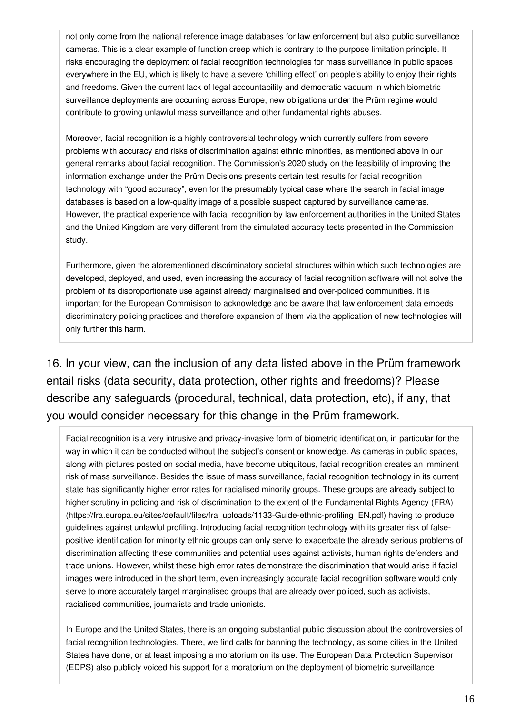not only come from the national reference image databases for law enforcement but also public surveillance cameras. This is a clear example of function creep which is contrary to the purpose limitation principle. It risks encouraging the deployment of facial recognition technologies for mass surveillance in public spaces everywhere in the EU, which is likely to have a severe 'chilling effect' on people's ability to enjoy their rights and freedoms. Given the current lack of legal accountability and democratic vacuum in which biometric surveillance deployments are occurring across Europe, new obligations under the Prüm regime would contribute to growing unlawful mass surveillance and other fundamental rights abuses.

Moreover, facial recognition is a highly controversial technology which currently suffers from severe problems with accuracy and risks of discrimination against ethnic minorities, as mentioned above in our general remarks about facial recognition. The Commission's 2020 study on the feasibility of improving the information exchange under the Prüm Decisions presents certain test results for facial recognition technology with "good accuracy", even for the presumably typical case where the search in facial image databases is based on a low-quality image of a possible suspect captured by surveillance cameras. However, the practical experience with facial recognition by law enforcement authorities in the United States and the United Kingdom are very different from the simulated accuracy tests presented in the Commission study.

Furthermore, given the aforementioned discriminatory societal structures within which such technologies are developed, deployed, and used, even increasing the accuracy of facial recognition software will not solve the problem of its disproportionate use against already marginalised and over-policed communities. It is important for the European Commisison to acknowledge and be aware that law enforcement data embeds discriminatory policing practices and therefore expansion of them via the application of new technologies will only further this harm.

16. In your view, can the inclusion of any data listed above in the Prüm framework entail risks (data security, data protection, other rights and freedoms)? Please describe any safeguards (procedural, technical, data protection, etc), if any, that you would consider necessary for this change in the Prüm framework.

Facial recognition is a very intrusive and privacy-invasive form of biometric identification, in particular for the way in which it can be conducted without the subject's consent or knowledge. As cameras in public spaces, along with pictures posted on social media, have become ubiquitous, facial recognition creates an imminent risk of mass surveillance. Besides the issue of mass surveillance, facial recognition technology in its current state has significantly higher error rates for racialised minority groups. These groups are already subject to higher scrutiny in policing and risk of discrimination to the extent of the Fundamental Rights Agency (FRA) (https://fra.europa.eu/sites/default/files/fra\_uploads/1133-Guide-ethnic-profiling\_EN.pdf) having to produce guidelines against unlawful profiling. Introducing facial recognition technology with its greater risk of falsepositive identification for minority ethnic groups can only serve to exacerbate the already serious problems of discrimination affecting these communities and potential uses against activists, human rights defenders and trade unions. However, whilst these high error rates demonstrate the discrimination that would arise if facial images were introduced in the short term, even increasingly accurate facial recognition software would only serve to more accurately target marginalised groups that are already over policed, such as activists, racialised communities, journalists and trade unionists.

In Europe and the United States, there is an ongoing substantial public discussion about the controversies of facial recognition technologies. There, we find calls for banning the technology, as some cities in the United States have done, or at least imposing a moratorium on its use. The European Data Protection Supervisor (EDPS) also publicly voiced his support for a moratorium on the deployment of biometric surveillance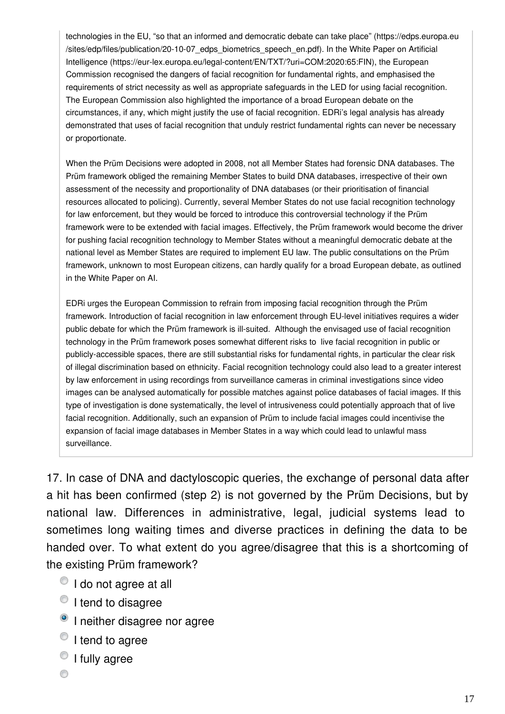technologies in the EU, "so that an informed and democratic debate can take place" (https://edps.europa.eu /sites/edp/files/publication/20-10-07\_edps\_biometrics\_speech\_en.pdf). In the White Paper on Artificial Intelligence (https://eur-lex.europa.eu/legal-content/EN/TXT/?uri=COM:2020:65:FIN), the European Commission recognised the dangers of facial recognition for fundamental rights, and emphasised the requirements of strict necessity as well as appropriate safeguards in the LED for using facial recognition. The European Commission also highlighted the importance of a broad European debate on the circumstances, if any, which might justify the use of facial recognition. EDRi's legal analysis has already demonstrated that uses of facial recognition that unduly restrict fundamental rights can never be necessary or proportionate.

When the Prüm Decisions were adopted in 2008, not all Member States had forensic DNA databases. The Prüm framework obliged the remaining Member States to build DNA databases, irrespective of their own assessment of the necessity and proportionality of DNA databases (or their prioritisation of financial resources allocated to policing). Currently, several Member States do not use facial recognition technology for law enforcement, but they would be forced to introduce this controversial technology if the Prüm framework were to be extended with facial images. Effectively, the Prüm framework would become the driver for pushing facial recognition technology to Member States without a meaningful democratic debate at the national level as Member States are required to implement EU law. The public consultations on the Prüm framework, unknown to most European citizens, can hardly qualify for a broad European debate, as outlined in the White Paper on AI.

EDRi urges the European Commission to refrain from imposing facial recognition through the Prüm framework. Introduction of facial recognition in law enforcement through EU-level initiatives requires a wider public debate for which the Prüm framework is ill-suited. Although the envisaged use of facial recognition technology in the Prüm framework poses somewhat different risks to live facial recognition in public or publicly-accessible spaces, there are still substantial risks for fundamental rights, in particular the clear risk of illegal discrimination based on ethnicity. Facial recognition technology could also lead to a greater interest by law enforcement in using recordings from surveillance cameras in criminal investigations since video images can be analysed automatically for possible matches against police databases of facial images. If this type of investigation is done systematically, the level of intrusiveness could potentially approach that of live facial recognition. Additionally, such an expansion of Prüm to include facial images could incentivise the expansion of facial image databases in Member States in a way which could lead to unlawful mass surveillance.

17. In case of DNA and dactyloscopic queries, the exchange of personal data after a hit has been confirmed (step 2) is not governed by the Prüm Decisions, but by national law. Differences in administrative, legal, judicial systems lead to sometimes long waiting times and diverse practices in defining the data to be handed over. To what extent do you agree/disagree that this is a shortcoming of the existing Prüm framework?

- $\bullet$  I do not agree at all
- <sup>O</sup> I tend to disagree
- <sup>o</sup> I neither disagree nor agree
- <sup>1</sup> I tend to agree
- <sup>1</sup> I fully agree
- ◉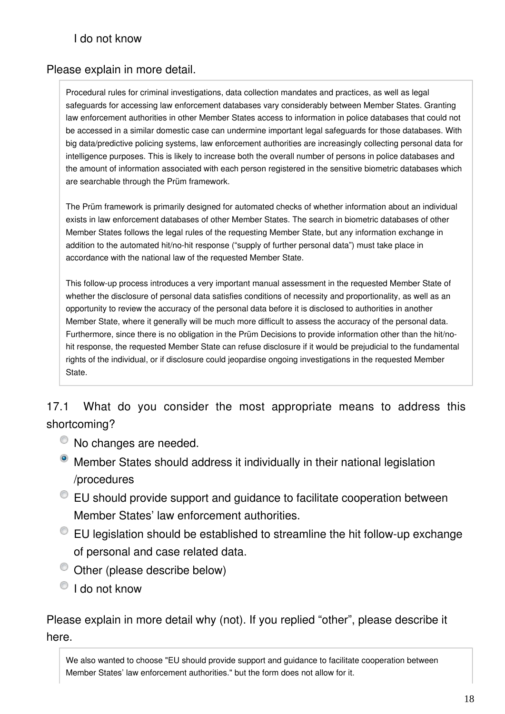#### I do not know

#### Please explain in more detail.

Procedural rules for criminal investigations, data collection mandates and practices, as well as legal safeguards for accessing law enforcement databases vary considerably between Member States. Granting law enforcement authorities in other Member States access to information in police databases that could not be accessed in a similar domestic case can undermine important legal safeguards for those databases. With big data/predictive policing systems, law enforcement authorities are increasingly collecting personal data for intelligence purposes. This is likely to increase both the overall number of persons in police databases and the amount of information associated with each person registered in the sensitive biometric databases which are searchable through the Prüm framework.

The Prüm framework is primarily designed for automated checks of whether information about an individual exists in law enforcement databases of other Member States. The search in biometric databases of other Member States follows the legal rules of the requesting Member State, but any information exchange in addition to the automated hit/no-hit response ("supply of further personal data") must take place in accordance with the national law of the requested Member State.

This follow-up process introduces a very important manual assessment in the requested Member State of whether the disclosure of personal data satisfies conditions of necessity and proportionality, as well as an opportunity to review the accuracy of the personal data before it is disclosed to authorities in another Member State, where it generally will be much more difficult to assess the accuracy of the personal data. Furthermore, since there is no obligation in the Prüm Decisions to provide information other than the hit/nohit response, the requested Member State can refuse disclosure if it would be prejudicial to the fundamental rights of the individual, or if disclosure could jeopardise ongoing investigations in the requested Member State.

17.1 What do you consider the most appropriate means to address this shortcoming?

- $\bullet$  No changes are needed.
- Member States should address it individually in their national legislation /procedures
- EU should provide support and guidance to facilitate cooperation between Member States' law enforcement authorities.
- EU legislation should be established to streamline the hit follow-up exchange of personal and case related data.
- $\bullet$  Other (please describe below)
- $\bigcirc$  I do not know

Please explain in more detail why (not). If you replied "other", please describe it here.

We also wanted to choose "EU should provide support and guidance to facilitate cooperation between Member States' law enforcement authorities." but the form does not allow for it.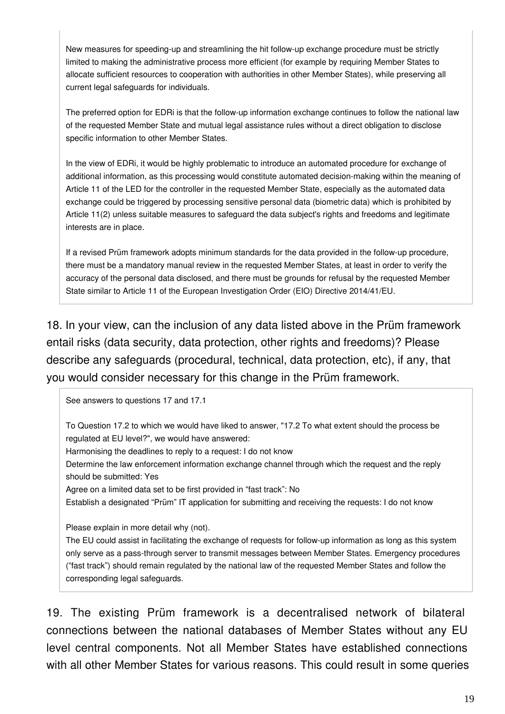New measures for speeding-up and streamlining the hit follow-up exchange procedure must be strictly limited to making the administrative process more efficient (for example by requiring Member States to allocate sufficient resources to cooperation with authorities in other Member States), while preserving all current legal safeguards for individuals.

The preferred option for EDRi is that the follow-up information exchange continues to follow the national law of the requested Member State and mutual legal assistance rules without a direct obligation to disclose specific information to other Member States.

In the view of EDRi, it would be highly problematic to introduce an automated procedure for exchange of additional information, as this processing would constitute automated decision-making within the meaning of Article 11 of the LED for the controller in the requested Member State, especially as the automated data exchange could be triggered by processing sensitive personal data (biometric data) which is prohibited by Article 11(2) unless suitable measures to safeguard the data subject's rights and freedoms and legitimate interests are in place.

If a revised Prüm framework adopts minimum standards for the data provided in the follow-up procedure, there must be a mandatory manual review in the requested Member States, at least in order to verify the accuracy of the personal data disclosed, and there must be grounds for refusal by the requested Member State similar to Article 11 of the European Investigation Order (EIO) Directive 2014/41/EU.

18. In your view, can the inclusion of any data listed above in the Prüm framework entail risks (data security, data protection, other rights and freedoms)? Please describe any safeguards (procedural, technical, data protection, etc), if any, that you would consider necessary for this change in the Prüm framework.

See answers to questions 17 and 17.1

To Question 17.2 to which we would have liked to answer, "17.2 To what extent should the process be regulated at EU level?", we would have answered:

Harmonising the deadlines to reply to a request: I do not know

Determine the law enforcement information exchange channel through which the request and the reply should be submitted: Yes

Agree on a limited data set to be first provided in "fast track": No

Establish a designated "Prüm" IT application for submitting and receiving the requests: I do not know

Please explain in more detail why (not).

The EU could assist in facilitating the exchange of requests for follow-up information as long as this system only serve as a pass-through server to transmit messages between Member States. Emergency procedures ("fast track") should remain regulated by the national law of the requested Member States and follow the corresponding legal safeguards.

19. The existing Prüm framework is a decentralised network of bilateral connections between the national databases of Member States without any EU level central components. Not all Member States have established connections with all other Member States for various reasons. This could result in some queries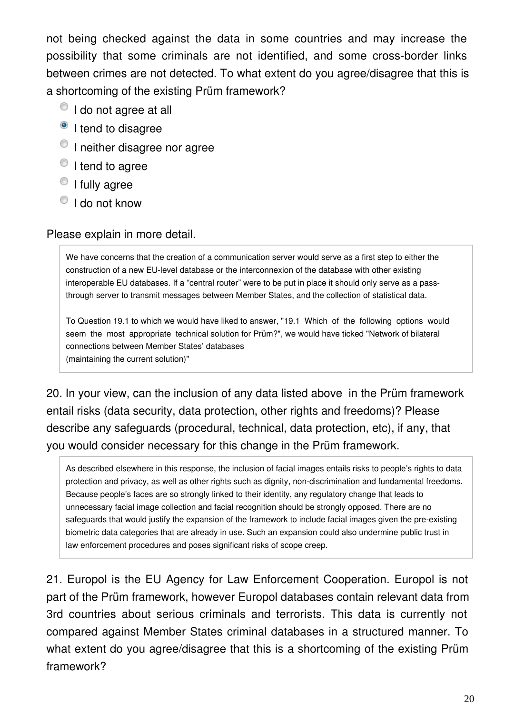not being checked against the data in some countries and may increase the possibility that some criminals are not identified, and some cross-border links between crimes are not detected. To what extent do you agree/disagree that this is a shortcoming of the existing Prüm framework?

- $\bullet$  I do not agree at all
- <sup>o</sup> I tend to disagree
- <sup>O</sup> I neither disagree nor agree
- <sup>O</sup> I tend to agree
- <sup>O</sup> I fully agree
- $\bigcirc$  I do not know

#### Please explain in more detail.

We have concerns that the creation of a communication server would serve as a first step to either the construction of a new EU-level database or the interconnexion of the database with other existing interoperable EU databases. If a "central router" were to be put in place it should only serve as a passthrough server to transmit messages between Member States, and the collection of statistical data.

To Question 19.1 to which we would have liked to answer, "19.1 Which of the following options would seem the most appropriate technical solution for Prüm?", we would have ticked "Network of bilateral connections between Member States' databases (maintaining the current solution)"

20. In your view, can the inclusion of any data listed above in the Prüm framework entail risks (data security, data protection, other rights and freedoms)? Please describe any safeguards (procedural, technical, data protection, etc), if any, that you would consider necessary for this change in the Prüm framework.

As described elsewhere in this response, the inclusion of facial images entails risks to people's rights to data protection and privacy, as well as other rights such as dignity, non-discrimination and fundamental freedoms. Because people's faces are so strongly linked to their identity, any regulatory change that leads to unnecessary facial image collection and facial recognition should be strongly opposed. There are no safeguards that would justify the expansion of the framework to include facial images given the pre-existing biometric data categories that are already in use. Such an expansion could also undermine public trust in law enforcement procedures and poses significant risks of scope creep.

21. Europol is the EU Agency for Law Enforcement Cooperation. Europol is not part of the Prüm framework, however Europol databases contain relevant data from 3rd countries about serious criminals and terrorists. This data is currently not compared against Member States criminal databases in a structured manner. To what extent do you agree/disagree that this is a shortcoming of the existing Prüm framework?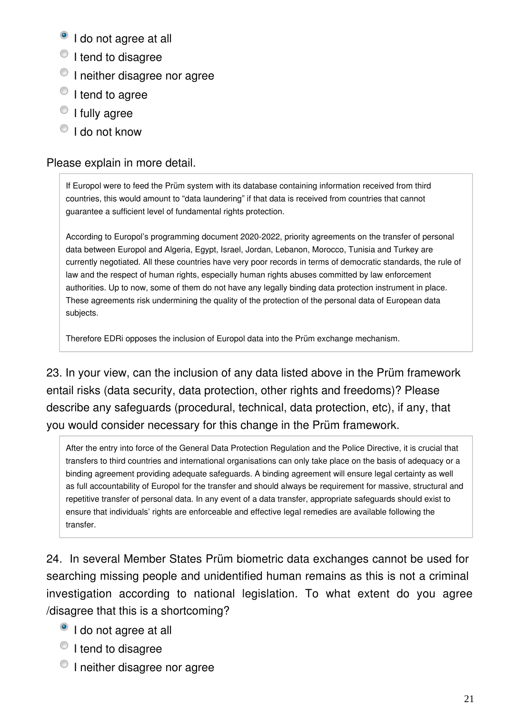- <sup>o</sup> I do not agree at all
- <sup>1</sup> I tend to disagree
- $\bullet$  I neither disagree nor agree
- $\bullet$  I tend to agree
- <sup>1</sup> I fully agree
- $\bigcirc$  I do not know

#### Please explain in more detail.

If Europol were to feed the Prüm system with its database containing information received from third countries, this would amount to "data laundering" if that data is received from countries that cannot guarantee a sufficient level of fundamental rights protection.

According to Europol's programming document 2020-2022, priority agreements on the transfer of personal data between Europol and Algeria, Egypt, Israel, Jordan, Lebanon, Morocco, Tunisia and Turkey are currently negotiated. All these countries have very poor records in terms of democratic standards, the rule of law and the respect of human rights, especially human rights abuses committed by law enforcement authorities. Up to now, some of them do not have any legally binding data protection instrument in place. These agreements risk undermining the quality of the protection of the personal data of European data subjects.

Therefore EDRi opposes the inclusion of Europol data into the Prüm exchange mechanism.

23. In your view, can the inclusion of any data listed above in the Prüm framework entail risks (data security, data protection, other rights and freedoms)? Please describe any safeguards (procedural, technical, data protection, etc), if any, that you would consider necessary for this change in the Prüm framework.

After the entry into force of the General Data Protection Regulation and the Police Directive, it is crucial that transfers to third countries and international organisations can only take place on the basis of adequacy or a binding agreement providing adequate safeguards. A binding agreement will ensure legal certainty as well as full accountability of Europol for the transfer and should always be requirement for massive, structural and repetitive transfer of personal data. In any event of a data transfer, appropriate safeguards should exist to ensure that individuals' rights are enforceable and effective legal remedies are available following the transfer.

24. In several Member States Prüm biometric data exchanges cannot be used for searching missing people and unidentified human remains as this is not a criminal investigation according to national legislation. To what extent do you agree /disagree that this is a shortcoming?

- <sup>o</sup> I do not agree at all
- <sup>O</sup> I tend to disagree
- <sup>O</sup> I neither disagree nor agree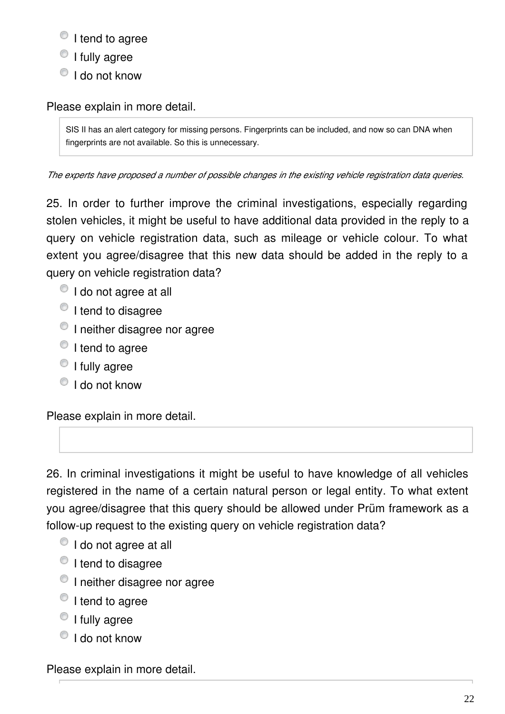- $\bullet$  I tend to agree
- <sup>1</sup> I fully agree
- $\bigcirc$  I do not know

Please explain in more detail.

SIS II has an alert category for missing persons. Fingerprints can be included, and now so can DNA when fingerprints are not available. So this is unnecessary.

*The experts have proposed a number of possible changes in the existing vehicle registration data queries.*

25. In order to further improve the criminal investigations, especially regarding stolen vehicles, it might be useful to have additional data provided in the reply to a query on vehicle registration data, such as mileage or vehicle colour. To what extent you agree/disagree that this new data should be added in the reply to a query on vehicle registration data?

- $\bullet$  I do not agree at all
- I tend to disagree
- <sup>1</sup> I neither disagree nor agree
- $\circ$  I tend to agree
- $\bullet$  I fully agree
- $\bullet$  I do not know

Please explain in more detail.

26. In criminal investigations it might be useful to have knowledge of all vehicles registered in the name of a certain natural person or legal entity. To what extent you agree/disagree that this query should be allowed under Prüm framework as a follow-up request to the existing query on vehicle registration data?

- $\bullet$  I do not agree at all
- I tend to disagree
- <sup>O</sup> I neither disagree nor agree
- $\bullet$  I tend to agree
- $\circ$  I fully agree
- $\bigcirc$  I do not know

Please explain in more detail.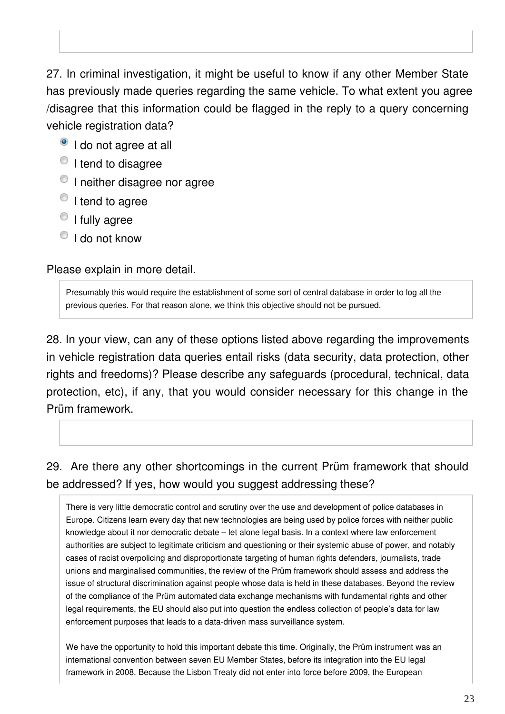27. In criminal investigation, it might be useful to know if any other Member State has previously made queries regarding the same vehicle. To what extent you agree /disagree that this information could be flagged in the reply to a query concerning vehicle registration data?

- <sup>o</sup> I do not agree at all
- <sup>1</sup> I tend to disagree
- <sup>O</sup> I neither disagree nor agree
- $\bullet$  I tend to agree
- $\bullet$  I fully agree
- $\bigcirc$  I do not know

Please explain in more detail.

Presumably this would require the establishment of some sort of central database in order to log all the previous queries. For that reason alone, we think this objective should not be pursued.

28. In your view, can any of these options listed above regarding the improvements in vehicle registration data queries entail risks (data security, data protection, other rights and freedoms)? Please describe any safeguards (procedural, technical, data protection, etc), if any, that you would consider necessary for this change in the Prüm framework.

29. Are there any other shortcomings in the current Prüm framework that should be addressed? If yes, how would you suggest addressing these?

There is very little democratic control and scrutiny over the use and development of police databases in Europe. Citizens learn every day that new technologies are being used by police forces with neither public knowledge about it nor democratic debate – let alone legal basis. In a context where law enforcement authorities are subject to legitimate criticism and questioning or their systemic abuse of power, and notably cases of racist overpolicing and disproportionate targeting of human rights defenders, journalists, trade unions and marginalised communities, the review of the Prüm framework should assess and address the issue of structural discrimination against people whose data is held in these databases. Beyond the review of the compliance of the Prüm automated data exchange mechanisms with fundamental rights and other legal requirements, the EU should also put into question the endless collection of people's data for law enforcement purposes that leads to a data-driven mass surveillance system.

We have the opportunity to hold this important debate this time. Originally, the Prüm instrument was an international convention between seven EU Member States, before its integration into the EU legal framework in 2008. Because the Lisbon Treaty did not enter into force before 2009, the European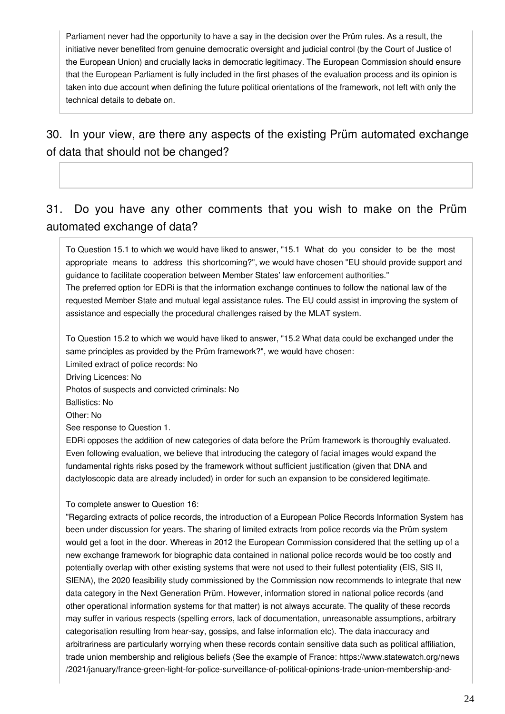Parliament never had the opportunity to have a say in the decision over the Prüm rules. As a result, the initiative never benefited from genuine democratic oversight and judicial control (by the Court of Justice of the European Union) and crucially lacks in democratic legitimacy. The European Commission should ensure that the European Parliament is fully included in the first phases of the evaluation process and its opinion is taken into due account when defining the future political orientations of the framework, not left with only the technical details to debate on.

30. In your view, are there any aspects of the existing Prüm automated exchange of data that should not be changed?

# 31. Do you have any other comments that you wish to make on the Prüm automated exchange of data?

To Question 15.1 to which we would have liked to answer, "15.1 What do you consider to be the most appropriate means to address this shortcoming?", we would have chosen "EU should provide support and guidance to facilitate cooperation between Member States' law enforcement authorities."

The preferred option for EDRi is that the information exchange continues to follow the national law of the requested Member State and mutual legal assistance rules. The EU could assist in improving the system of assistance and especially the procedural challenges raised by the MLAT system.

To Question 15.2 to which we would have liked to answer, "15.2 What data could be exchanged under the same principles as provided by the Prüm framework?", we would have chosen:

Limited extract of police records: No

Driving Licences: No

Photos of suspects and convicted criminals: No

Ballistics: No

Other: No

See response to Question 1.

EDRi opposes the addition of new categories of data before the Prüm framework is thoroughly evaluated. Even following evaluation, we believe that introducing the category of facial images would expand the fundamental rights risks posed by the framework without sufficient justification (given that DNA and dactyloscopic data are already included) in order for such an expansion to be considered legitimate.

#### To complete answer to Question 16:

"Regarding extracts of police records, the introduction of a European Police Records Information System has been under discussion for years. The sharing of limited extracts from police records via the Prüm system would get a foot in the door. Whereas in 2012 the European Commission considered that the setting up of a new exchange framework for biographic data contained in national police records would be too costly and potentially overlap with other existing systems that were not used to their fullest potentiality (EIS, SIS II, SIENA), the 2020 feasibility study commissioned by the Commission now recommends to integrate that new data category in the Next Generation Prüm. However, information stored in national police records (and other operational information systems for that matter) is not always accurate. The quality of these records may suffer in various respects (spelling errors, lack of documentation, unreasonable assumptions, arbitrary categorisation resulting from hear-say, gossips, and false information etc). The data inaccuracy and arbitrariness are particularly worrying when these records contain sensitive data such as political affiliation, trade union membership and religious beliefs (See the example of France: https://www.statewatch.org/news /2021/january/france-green-light-for-police-surveillance-of-political-opinions-trade-union-membership-and-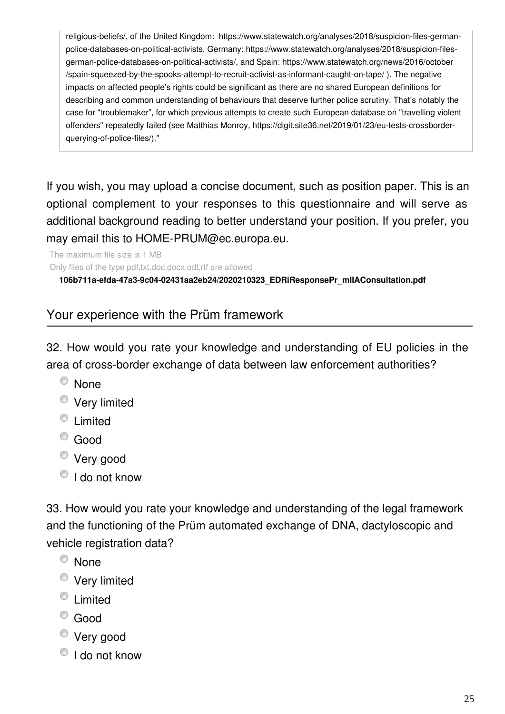religious-beliefs/, of the United Kingdom: https://www.statewatch.org/analyses/2018/suspicion-files-germanpolice-databases-on-political-activists, Germany: https://www.statewatch.org/analyses/2018/suspicion-filesgerman-police-databases-on-political-activists/, and Spain: https://www.statewatch.org/news/2016/october /spain-squeezed-by-the-spooks-attempt-to-recruit-activist-as-informant-caught-on-tape/ ). The negative impacts on affected people's rights could be significant as there are no shared European definitions for describing and common understanding of behaviours that deserve further police scrutiny. That's notably the case for "troublemaker", for which previous attempts to create such European database on "travelling violent offenders" repeatedly failed (see Matthias Monroy, https://digit.site36.net/2019/01/23/eu-tests-crossborderquerying-of-police-files/)."

If you wish, you may upload a concise document, such as position paper. This is an optional complement to your responses to this questionnaire and will serve as additional background reading to better understand your position. If you prefer, you may email this to HOME-PRUM@ec.europa.eu.

The maximum file size is 1 MB Only files of the type pdf,txt,doc,docx,odt,rtf are allowed

**106b711a-efda-47a3-9c04-02431aa2eb24/2020210323\_EDRiResponsePr\_mIIAConsultation.pdf**

# Your experience with the Prüm framework

32. How would you rate your knowledge and understanding of EU policies in the area of cross-border exchange of data between law enforcement authorities?

- <sup>O</sup> None
- Very limited
- **E** Limited
- Good
- Very good
- $\bigcirc$  I do not know

33. How would you rate your knowledge and understanding of the legal framework and the functioning of the Prüm automated exchange of DNA, dactyloscopic and vehicle registration data?

- <sup>O</sup> None
- **Very limited**
- $\bullet$  Limited
- Good
- Very good
- $\bigcirc$  I do not know